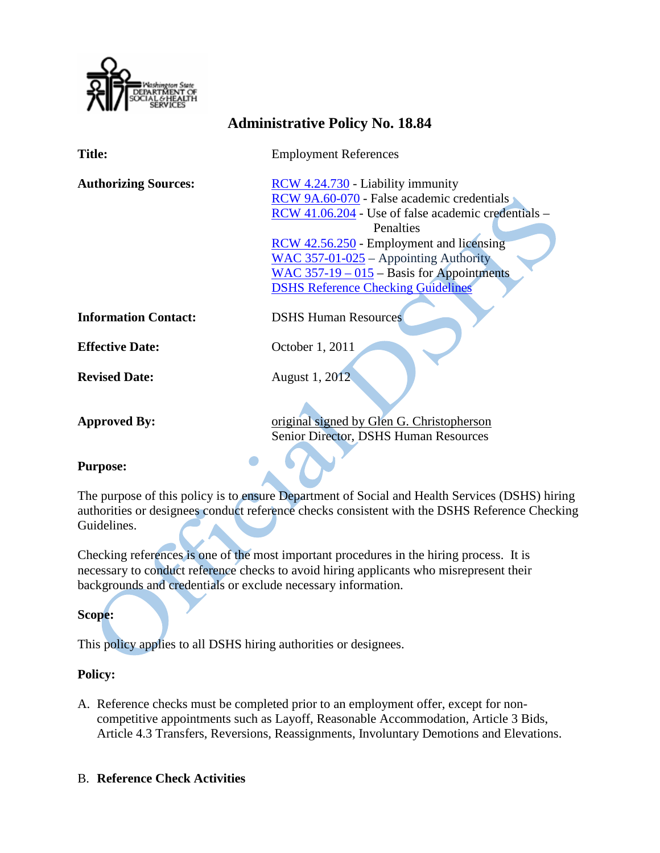

# **Administrative Policy No. 18.84**

**Title:** Employment References

**Authorizing Sources:** [RCW 4.24.730](http://apps.leg.wa.gov/rcw/default.aspx?cite=4.24.730) - Liability immunity [RCW 9A.60-070](http://apps.leg.wa.gov/rcw/default.aspx?cite=9A.60.070) - False academic credentials [RCW 41.06.204](http://apps.leg.wa.gov/rcw/default.aspx?cite=41.06.204) - Use of false academic credentials – **Penalties** [RCW 42.56.250](http://apps.leg.wa.gov/rcw/default.aspx?cite=42.56.250) - Employment and licensing [WAC 357-01-025](http://apps.leg.wa.gov/wac/default.aspx?cite=357-01-015) – Appointing Authority [WAC 357-19 –](http://apps.leg.wa.gov/WAC/default.aspx?cite=357-19-015) 015 – Basis for Appointments [DSHS Reference Checking Guidelines](http://hrd.dshs.wa.gov/Top_Toolbar/Guidlines_and_Best_Practices/Guidlines_Best_Practices.htm)

**Information Contact:** DSHS Human Resources

**Effective Date:** October 1, 2011

**Revised Date:** August 1, 2012

Approved By: original signed by Glen G. Christopherson Senior Director, DSHS Human Resources

## **Purpose:**

The purpose of this policy is to ensure Department of Social and Health Services (DSHS) hiring authorities or designees conduct reference checks consistent with the DSHS Reference Checking Guidelines.

Checking references is one of the most important procedures in the hiring process. It is necessary to conduct reference checks to avoid hiring applicants who misrepresent their backgrounds and credentials or exclude necessary information.

## **Scope:**

This policy applies to all DSHS hiring authorities or designees.

## **Policy:**

A. Reference checks must be completed prior to an employment offer, except for noncompetitive appointments such as Layoff, Reasonable Accommodation, Article 3 Bids, Article 4.3 Transfers, Reversions, Reassignments, Involuntary Demotions and Elevations.

## B. **Reference Check Activities**